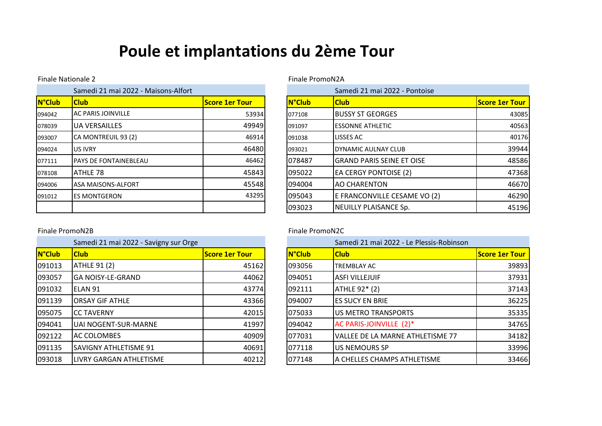# **Poule et implantations du 2ème Tour**

### Finale Nationale 2 Finale PromoN2A

| Samedi 21 mai 2022 - Maisons-Alfort |                               |                       |               | Samedi 21 mai 2022 - Pontoise    |
|-------------------------------------|-------------------------------|-----------------------|---------------|----------------------------------|
| <b>N°Club</b>                       | <b>Club</b>                   | <b>Score 1er Tour</b> | <b>N°Club</b> | <b>Club</b>                      |
| 094042                              | <b>AC PARIS JOINVILLE</b>     | 53934                 | 077108        | <b>BUSSY ST GEORGES</b>          |
| 078039                              | <b>UA VERSAILLES</b>          | 49949                 | 091097        | <b>ESSONNE ATHLETIC</b>          |
| 093007                              | CA MONTREUIL 93 (2)           | 46914                 | 091038        | LISSES AC                        |
| 094024                              | <b>US IVRY</b>                | 46480                 | 093021        | DYNAMIC AULNAY CLUB              |
| 077111                              | <b>IPAYS DE FONTAINEBLEAU</b> | 46462                 | 1078487       | <b>GRAND PARIS SEINE ET OISE</b> |
| 078108                              | ATHLE 78                      | 45843                 | 095022        | <b>EA CERGY PONTOISE (2)</b>     |
| 094006                              | <b>ASA MAISONS-ALFORT</b>     | 45548                 | 094004        | <b>AO CHARENTON</b>              |
| 091012                              | <b>IES MONTGERON</b>          | 43295                 | 095043        | E FRANCONVILLE CESAME VO (       |
|                                     |                               |                       | 093023        | NEUILLY PLAISANCE Sp.            |

|               | Samedi 21 mai 2022 - Maisons-Alfort |                       |               | Samedi 21 mai 2022 - Pontoise    |                       |
|---------------|-------------------------------------|-----------------------|---------------|----------------------------------|-----------------------|
| <b>N°Club</b> | <b>Club</b>                         | <b>Score 1er Tour</b> | <b>N°Club</b> | <b>Club</b>                      | <b>Score 1er Tour</b> |
| 094042        | <b>AC PARIS JOINVILLE</b>           | 53934                 | 077108        | <b>BUSSY ST GEORGES</b>          |                       |
| 078039        | <b>UA VERSAILLES</b>                | 49949                 | 091097        | <b>IESSONNE ATHLETIC</b>         |                       |
| 093007        | CA MONTREUIL 93 (2)                 | 46914                 | 091038        | LISSES AC                        |                       |
| 094024        | <b>US IVRY</b>                      | 46480                 | 093021        | <b>IDYNAMIC AULNAY CLUB</b>      |                       |
| 077111        | <b>IPAYS DE FONTAINEBLEAU</b>       | 46462                 | 078487        | <b>GRAND PARIS SEINE ET OISE</b> |                       |
| 078108        | <b>ATHLE 78</b>                     | 45843                 | 095022        | <b>EA CERGY PONTOISE (2)</b>     |                       |
| 094006        | <b>ASA MAISONS-ALFORT</b>           | 45548                 | 094004        | <b>AO CHARENTON</b>              |                       |
| 091012        | <b>IES MONTGERON</b>                | 43295                 | 095043        | E FRANCONVILLE CESAME VO (2)     |                       |
|               |                                     |                       | 093023        | NEUILLY PLAISANCE Sp.            |                       |

### Finale PromoN2B Finale PromoN2C

| Samedi 21 mai 2022 - Savigny sur Orge |                              |                       |  |               | Samedi 21 mai 2022 - Le Plessis-Robinson |  |
|---------------------------------------|------------------------------|-----------------------|--|---------------|------------------------------------------|--|
| <b>N°Club</b>                         | <b>Club</b>                  | <b>Score 1er Tour</b> |  | <b>N°Club</b> | <b>Club</b>                              |  |
| 091013                                | <b>ATHLE 91 (2)</b>          | 45162                 |  | 093056        | <b>TREMBLAY AC</b>                       |  |
| 093057                                | <b>GA NOISY-LE-GRAND</b>     | 44062                 |  | 094051        | <b>ASFI VILLEJUIF</b>                    |  |
| 091032                                | ELAN 91                      | 43774                 |  | 092111        | ATHLE 92* (2)                            |  |
| 091139                                | <b>ORSAY GIF ATHLE</b>       | 43366                 |  | 094007        | <b>ES SUCY EN BRIE</b>                   |  |
| 095075                                | <b>CC TAVERNY</b>            | 42015                 |  | 075033        | US METRO TRANSPORTS                      |  |
| 094041                                | UAI NOGENT-SUR-MARNE         | 41997                 |  | 094042        | AC PARIS-JOINVILLE (2)*                  |  |
| 092122                                | <b>AC COLOMBES</b>           | 40909                 |  | 077031        | VALLEE DE LA MARNE ATHLETISME 77         |  |
| 091135                                | <b>SAVIGNY ATHLETISME 91</b> | 40691                 |  | 077118        | US NEMOURS SP                            |  |
| 093018                                | LIVRY GARGAN ATHLETISME      | 40212                 |  | 077148        | A CHELLES CHAMPS ATHLETISME              |  |

|               | Samedi 21 mai 2022 - Savigny sur Orge |                       |  | Samedi 21 mai 2022 - Le Plessis-Robinson |                                  |                       |  |
|---------------|---------------------------------------|-----------------------|--|------------------------------------------|----------------------------------|-----------------------|--|
| <b>N°Club</b> | <b>Club</b>                           | <b>Score 1er Tour</b> |  | <b>N°Club</b>                            | <b>Club</b>                      | <b>Score 1er Tour</b> |  |
| 091013        | <b>ATHLE 91 (2)</b>                   | 45162                 |  | 093056                                   | <b>TREMBLAY AC</b>               | 39893                 |  |
| 093057        | <b>I</b> GA NOISY-LE-GRAND            | 44062                 |  | 094051                                   | <b>ASFI VILLEJUIF</b>            | 37931                 |  |
| 091032        | ELAN 91                               | 43774                 |  | 092111                                   | <b>ATHLE 92* (2)</b>             | 37143                 |  |
| 091139        | <b>ORSAY GIF ATHLE</b>                | 43366                 |  | 094007                                   | <b>IES SUCY EN BRIE</b>          | 36225                 |  |
| 095075        | <b>ICC TAVERNY</b>                    | 42015                 |  | 075033                                   | <b>JUS METRO TRANSPORTS</b>      | 35335                 |  |
| 094041        | UAI NOGENT-SUR-MARNE                  | 41997                 |  | 094042                                   | AC PARIS-JOINVILLE (2)*          | 34765                 |  |
| 092122        | <b>AC COLOMBES</b>                    | 40909                 |  | 077031                                   | VALLEE DE LA MARNE ATHLETISME 77 | 34182                 |  |
| 091135        | <b>SAVIGNY ATHLETISME 91</b>          | 40691                 |  | 077118                                   | <b>IUS NEMOURS SP</b>            | 33996                 |  |
| 093018        | LIVRY GARGAN ATHLETISME               | 40212                 |  | 077148                                   | A CHELLES CHAMPS ATHLETISME      | 33466                 |  |